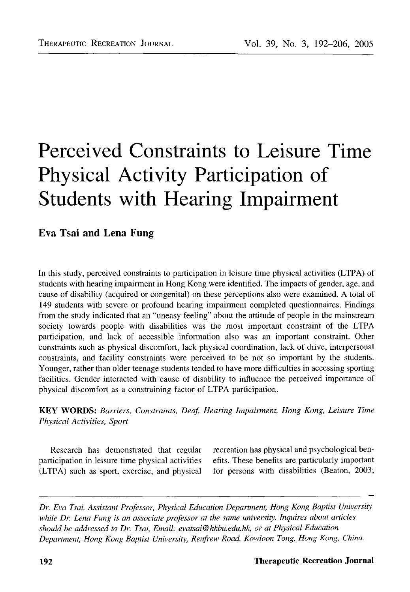# Perceived Constraints to Leisure Time Physical Activity Participation of Students with Hearing Impairment

## Eva Tsai and Lena Fung

In this study, perceived constraints to participation in leisure time physical activities (LTPA) of students with hearing impairment in Hong Kong were identified. The impacts of gender, age, and cause of disability (acquired or congenital) on these perceptions also were examined. A total of 149 students with severe or profound hearing impairment completed questionnaires. Findings from the study indicated that an "uneasy feeling" about the attitude of people in the mainstream society towards people with disabilities was the most important constraint of the LTPA participation, and lack of accessible information also was an important constraint. Other constraints such as physical discomfort, lack physical coordination, lack of drive, interpersonal constraints, and facility constraints were perceived to be not so important by the students. Younger, rather than older teenage students tended to have more difficulties in accessing sporting facilities. Gender interacted with cause of disability to influence the perceived importance of physical discomfort as a constraining factor of LTPA participation.

**KEY WORDS:** *Barriers, Constraints, Deaf, Hearing Impairment, Hong Kong, Leisure Time Physical Activities, Sport*

participation in leisure time physical activities efits. These benefits are particularly important (LTPA) such as sport, exercise, and physical for persons with disabilities (Beaton, 2003;

Research has demonstrated that regular recreation has physical and psychological ben-

*Dr. Eva Tsai, Assistant Professor, Physical Education Department, Hong Kong Baptist University while Dr. Lena Fung is an associate professor at the same university. Inquires about articles should be addressed to Dr. Tsai, Email: evatsai@hkbu.edu.hk, or at Physical Education Department, Hong Kong Baptist University, Renfrew Road, Kowloon Tong, Hong Kong, China.*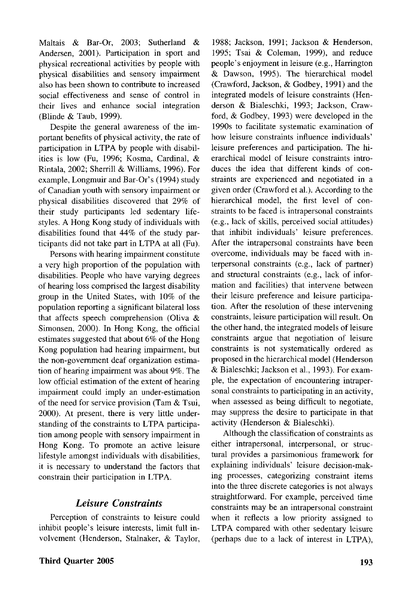Maltais & Bar-Or, 2003; Sutherland & Andersen, 2001). Participation in sport and physical recreational activities by people with physical disabilities and sensory impairment also has been shown to contribute to increased social effectiveness and sense of control in their lives and enhance social integration (Blinde & Taub, 1999).

Despite the general awareness of the important benefits of physical activity, the rate of participation in LTPA by people with disabilities is low (Fu, 1996; Kosma, Cardinal, & Rintala, 2002; Sherrill & Williams, 1996). For example, Longmuir and Bar-Or's (1994) study of Canadian youth with sensory impairment or physical disabilities discovered that 29% of their study participants led sedentary lifestyles. A Hong Kong study of individuals with disabilities found that 44% of the study participants did not take part in LTPA at all (Fu).

Persons with hearing impairment constitute a very high proportion of the population with disabilities. People who have varying degrees of hearing loss comprised the largest disability group in the United States, with 10% of the population reporting a significant bilateral loss that affects speech comprehension (Oliva  $\&$ Simonsen, 2000). In Hong Kong, the official estimates suggested that about 6% of the Hong Kong population had hearing impairment, but the non-government deaf organization estimation of hearing impairment was about 9%. The low official estimation of the extent of hearing impairment could imply an under-estimation of the need for service provision (Tam  $&$  Tsui, 2000). At present, there is very little understanding of the constraints to LTPA participation among people with sensory impairment in Hong Kong. To promote an active leisure lifestyle amongst individuals with disabilities, it is necessary to understand the factors that constrain their participation in LTPA.

## *Leisure Constraints*

Perception of constraints to leisure could inhibit people's leisure interests, limit full involvement (Henderson, Stalnaker, & Taylor,

1988; Jackson, 1991; Jackson & Henderson, 1995; Tsai & Coleman, 1999), and reduce people's enjoyment in leisure (e.g., Harrington & Dawson, 1995). The hierarchical model (Crawford, Jackson, & Godbey, 1991) and the integrated models of leisure constraints (Henderson & Bialeschki, 1993; Jackson, Crawford, & Godbey, 1993) were developed in the 1990s to facilitate systematic examination of how leisure constraints influence individuals' leisure preferences and participation. The hierarchical model of leisure constraints introduces the idea that different kinds of constraints are experienced and negotiated in a given order (Crawford et al.). According to the hierarchical model, the first level of constraints to be faced is intrapersonal constraints (e.g., lack of skills, perceived social attitudes) that inhibit individuals' leisure preferences. After the intrapersonal constraints have been overcome, individuals may be faced with interpersonal constraints (e.g., lack of partner) and structural constraints (e.g., lack of information and facilities) that intervene between their leisure preference and leisure participation. After the resolution of these intervening constraints, leisure participation will result. On the other hand, the integrated models of leisure constraints argue that negotiation of leisure constraints is not systematically ordered as proposed in the hierarchical model (Henderson & Bialeschki; Jackson et al., 1993). For example, the expectation of encountering intrapersonal constraints to participating in an activity, when assessed as being difficult to negotiate, may suppress the desire to participate in that activity (Henderson & Bialeschki).

Although the classification of constraints as either intrapersonal, interpersonal, or structural provides a parsimonious framework for explaining individuals' leisure decision-making processes, categorizing constraint items into the three discrete categories is not always straightforward. For example, perceived time constraints may be an intrapersonal constraint when it reflects a low priority assigned to LTPA compared with other sedentary leisure (perhaps due to a lack of interest in LTPA),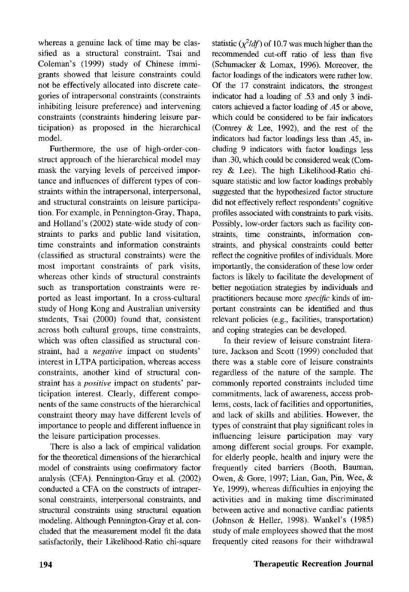whereas a genuine lack of time may be classified as a structural constraint. Tsai and Coleman's (1999) study of Chinese immigrants showed that leisure constraints could not be effectively allocated into discrete categories of intrapersonal constraints (constraints inhibiting leisure preference) and intervening constraints (constraints hindering leisure participation) as proposed in the hierarchical model.

Furthermore, the use of high-order-construct approach of the hierarchical model may mask the varying levels of perceived importance and influences of different types of constraints within the intrapersonal, interpersonal, and structural constraints on leisure participation. For example, in Pennington-Gray, Thapa, and Holland's (2002) state-wide study of constraints to parks and public land visitation, time constraints and information constraints (classified as structural constraints) were the most important constraints of park visits, whereas other kinds of structural constraints such as transportation constraints were reported as least important. In a cross-cultural study of Hong Kong and Australian university students, Tsai (2000) found that, consistent across both cultural groups, time constraints, which was often classified as structural constraint, had a *negative* impact on students' interest in LTPA participation, whereas access constraints, another kind of structural constraint has a *positive* impact on students' participation interest. Clearly, different components of the same constructs of the hierarchical constraint theory may have different levels of importance to people and different influence in the leisure participation processes.

There is also a lack of empirical validation for the theoretical dimensions of the hierarchical model of constraints using confirmatory factor analysis (CFA). Pennington-Gray et al. (2002) conducted a CFA on the constructs of intrapersonal constraints, interpersonal constraints, and structural constraints using structural equation modeling. Although Pennington-Gray et al. concluded that the measurement model fit the data satisfactorily, their Likelihood-Ratio chi-square statistic  $(\chi^2/df)$  of 10.7 was much higher than the recommended cut-off ratio of less than five (Schumacker & Lomax, 1996). Moreover, the factor loadings of the indicators were rather low. Of the 17 constraint indicators, the strongest indicator had a loading of .53 and only 3 indicators achieved a factor loading of .45 or above, which could be considered to be fair indicators (Convey & Lee, 1992), and the rest of the indicators had factor loadings less than .45, including 9 indicators with factor loadings less than .30, which could be considered weak (Comrey & Lee). The high Likelihood-Ratio chisquare statistic and low factor loadings probably suggested that the hypothesized factor structure did not effectively reflect respondents' cognitive profiles associated with constraints to park visits. Possibly, low-order factors such as facility constraints, time constraints, information constraints, and physical constraints could better reflect the cognitive profiles of individuals. More importantly, the consideration of these low order factors is likely to facilitate the development of better negotiation strategies by individuals and practitioners because more *specific* kinds of important constraints can be identified and thus relevant policies (e.g., facilities, transportation) and coping strategies can be developed.

In their review of leisure constraint literature, Jackson and Scott (1999) concluded that there was a stable core of leisure constraints regardless of the nature of the sample. The commonly reported constraints included time commitments, lack of awareness, access problems, costs, lack of facilities and opportunities, and lack of skills and abilities. However, the types of constraint that play significant roles in influencing leisure participation may vary among different social groups. For example, for elderly people, health and injury were the frequently cited barriers (Booth, Bauman, Owen, & Gore, 1997; Lian, Gan, Pin, Wee, & Ye, 1999), whereas difficulties in enjoying the activities and in making time discriminated between active and nonactive cardiac patients (Johnson & Heller, 1998). Wankel's (1985) study of male employees showed that the most frequently cited reasons for their withdrawal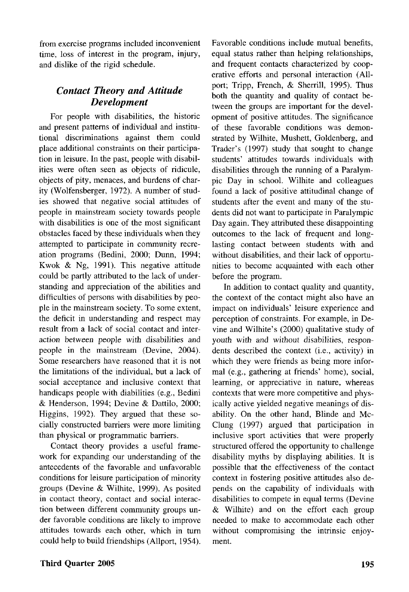from exercise programs included inconvenient time, loss of interest in the program, injury, and dislike of the rigid schedule.

## *Contact Theory and Attitude Development*

For people with disabilities, the historic and present patterns of individual and institutional discriminations against them could place additional constraints on their participation in leisure. In the past, people with disabilities were often seen as objects of ridicule, objects of pity, menaces, and burdens of charity (Wolfensberger, 1972). A number of studies showed that negative social attitudes of people in mainstream society towards people with disabilities is one of the most significant obstacles faced by these individuals when they attempted to participate in community recreation programs (Bedini, 2000; Dunn, 1994; Kwok & Ng, 1991). This negative attitude could be partly attributed to the lack of understanding and appreciation of the abilities and difficulties of persons with disabilities by people in the mainstream society. To some extent, the deficit in understanding and respect may result from a lack of social contact and interaction between people with disabilities and people in the mainstream (Devine, 2004). Some researchers have reasoned that it is not the limitations of the individual, but a lack of social acceptance and inclusive context that handicaps people with diabilities (e.g., Bedini & Henderson, 1994; Devine & Dattilo, 2000; Higgins, 1992). They argued that these socially constructed barriers were more limiting than physical or programmatic barriers.

Contact theory provides a useful framework for expanding our understanding of the antecedents of the favorable and unfavorable conditions for leisure participation of minority groups (Devine & Wilhite, 1999). As posited in contact theory, contact and social interaction between different community groups under favorable conditions are likely to improve attitudes towards each other, which in turn could help to build friendships (Allport, 1954). Favorable conditions include mutual benefits, equal status rather than helping relationships, and frequent contacts characterized by cooperative efforts and personal interaction (Allport; Tripp, French, & Sherrill, 1995). Thus both the quantity and quality of contact between the groups are important for the development of positive attitudes. The significance of these favorable conditions was demonstrated by Wilhite, Mushett, Goldenberg, and Trader's (1997) study that sought to change students' attitudes towards individuals with disabilities through the running of a Paralympic Day in school. Wilhite and colleagues found a lack of positive attitudinal change of students after the event and many of the students did not want to participate in Paralympic Day again. They attributed these disappointing outcomes to the lack of frequent and longlasting contact between students with and without disabilities, and their lack of opportunities to become acquainted with each other before the program.

In addition to contact quality and quantity, the context of the contact might also have an impact on individuals' leisure experience and perception of constraints. For example, in Devine and Wilhite's (2000) qualitative study of youth with and without disabilities, respondents described the context (i.e., activity) in which they were friends as being more informal (e.g., gathering at friends' home), social, learning, or appreciative in nature, whereas contexts that were more competitive and physically active yielded negative meanings of disability. On the other hand, Blinde and Mc-Clung (1997) argued that participation in inclusive sport activities that were properly structured offered the opportunity to challenge disability myths by displaying abilities. It is possible that the effectiveness of the contact context in fostering positive attitudes also depends on the capability of individuals with disabilities to compete in equal terms (Devine & Wilhite) and on the effort each group needed to make to accommodate each other without compromising the intrinsic enjoyment.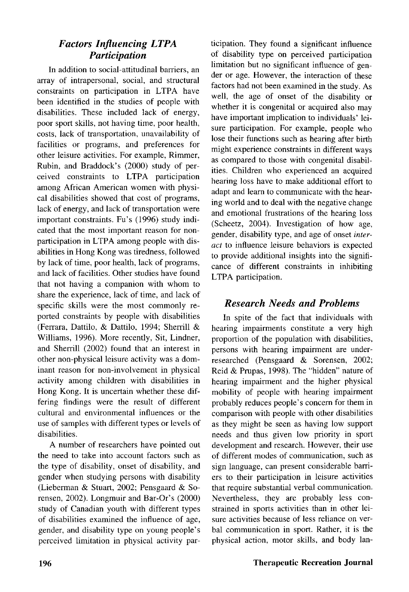## *Factors Influencing LTPA Participation*

In addition to social-attitudinal barriers, an array of intrapersonal, social, and structural constraints on participation in LTPA have been identified in the studies of people with disabilities. These included lack of energy, poor sport skills, not having time, poor health, costs, lack of transportation, unavailability of facilities or programs, and preferences for other leisure activities. For example, Rimmer, Rubin, and Braddock's (2000) study of perceived constraints to LTPA participation among African American women with physical disabilities showed that cost of programs, lack of energy, and lack of transportation were important constraints. Fu's (1996) study indicated that the most important reason for nonparticipation in LTPA among people with disabilities in Hong Kong was tiredness, followed by lack of time, poor health, lack of programs, and lack of facilities. Other studies have found that not having a companion with whom to share the experience, lack of time, and lack of specific skills were the most commonly reported constraints by people with disabilities (Ferrara, Dattilo, & Dattilo, 1994; Sherrill & Williams, 1996). More recently, Sit, Lindner, and Sherrill (2002) found that an interest in other non-physical leisure activity was a dominant reason for non-involvement in physical activity among children with disabilities in Hong Kong. It is uncertain whether these differing findings were the result of different cultural and environmental influences or the use of samples with different types or levels of disabilities.

A number of researchers have pointed out the need to take into account factors such as the type of disability, onset of disability, and gender when studying persons with disability (Lieberman & Stuart, 2002; Pensgaard & Sorensen, 2002). Longmuir and Bar-Or's (2000) study of Canadian youth with different types of disabilities examined the influence of age, gender, and disability type on young people's perceived limitation in physical activity participation. They found a significant influence of disability type on perceived participation limitation but no significant influence of gender or age. However, the interaction of these factors had not been examined in the study. As well, the age of onset of the disability or whether it is congenital or acquired also may have important implication to individuals' leisure participation. For example, people who lose their functions such as hearing after birth might experience constraints in different ways as compared to those with congenital disabilities. Children who experienced an acquired hearing loss have to make additional effort to adapt and learn to communicate with the hearing world and to deal with the negative change and emotional frustrations of the hearing loss (Scheetz, 2004). Investigation of how age, gender, disability type, and age of onset *interact* to influence leisure behaviors is expected to provide additional insights into the significance of different constraints in inhibiting LTPA participation.

## *Research Needs and Problems*

In spite of the fact that individuals with hearing impairments constitute a very high proportion of the population with disabilities, persons with hearing impairment are underresearched (Pensgaard & Sorensen, 2002; Reid & Prupas, 1998). The "hidden" nature of hearing impairment and the higher physical mobility of people with hearing impairment probably reduces people's concern for them in comparison with people with other disabilities as they might be seen as having low support needs and thus given low priority in sport development and research. However, their use of different modes of communication, such as sign language, can present considerable barriers to their participation in leisure activities that require substantial verbal communication. Nevertheless, they are probably less constrained in sports activities than in other leisure activities because of less reliance on verbal communication in sport. Rather, it is the physical action, motor skills, and body lan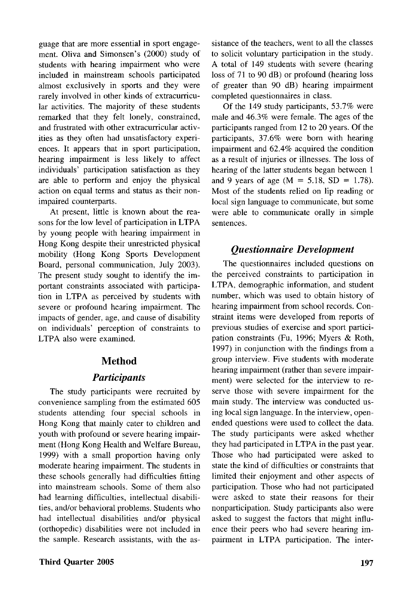guage that are more essential in sport engagement. Oliva and Simonsen's (2000) study of students with hearing impairment who were included in mainstream schools participated almost exclusively in sports and they were rarely involved in other kinds of extracurricular activities. The majority of these students remarked that they felt lonely, constrained, and frustrated with other extracurricular activities as they often had unsatisfactory experiences. It appears that in sport participation, hearing impairment is less likely to affect individuals' participation satisfaction as they are able to perform and enjoy the physical action on equal terms and status as their nonimpaired counterparts.

At present, little is known about the reasons for the low level of participation in LTPA by young people with hearing impairment in Hong Kong despite their unrestricted physical mobility (Hong Kong Sports Development Board, personal communication, July 2003). The present study sought to identify the important constraints associated with participation in LTPA as perceived by students with severe or profound hearing impairment. The impacts of gender, age, and cause of disability on individuals' perception of constraints to LTPA also were examined.

## Method

## *Participants*

The study participants were recruited by convenience sampling from the estimated 605 students attending four special schools in Hong Kong that mainly cater to children and youth with profound or severe hearing impairment (Hong Kong Health and Welfare Bureau, 1999) with a small proportion having only moderate hearing impairment. The students in these schools generally had difficulties fitting into mainstream schools. Some of them also had learning difficulties, intellectual disabilities, and/or behavioral problems. Students who had intellectual disabilities and/or physical (orthopedic) disabilities were not included in the sample. Research assistants, with the as-

**Third Quarter 2005 197**

sistance of the teachers, went to all the classes to solicit voluntary participation in the study. A total of 149 students with severe (hearing loss of 71 to 90 dB) or profound (hearing loss of greater than 90 dB) hearing impairment completed questionnaires in class.

Of the 149 study participants, 53.7% were male and 46.3% were female. The ages of the participants ranged from 12 to 20 years. Of the participants, 37.6% were born with hearing impairment and 62.4% acquired the condition as a result of injuries or illnesses. The loss of hearing of the latter students began between 1 and 9 years of age ( $M = 5.18$ , SD = 1.78). Most of the students relied on lip reading or local sign language to communicate, but some were able to communicate orally in simple sentences.

## *Questionnaire Development*

The questionnaires included questions on the perceived constraints to participation in LTPA, demographic information, and student number, which was used to obtain history of hearing impairment from school records. Constraint items were developed from reports of previous studies of exercise and sport participation constraints (Fu, 1996; Myers & Roth, 1997) in conjunction with the findings from a group interview. Five students with moderate hearing impairment (rather than severe impairment) were selected for the interview to reserve those with severe impairment for the main study. The interview was conducted using local sign language. In the interview, openended questions were used to collect the data. The study participants were asked whether they had participated in LTPA in the past year. Those who had participated were asked to state the kind of difficulties or constraints that limited their enjoyment and other aspects of participation. Those who had not participated were asked to state their reasons for their nonparticipation. Study participants also were asked to suggest the factors that might influence their peers who had severe hearing impairment in LTPA participation. The inter-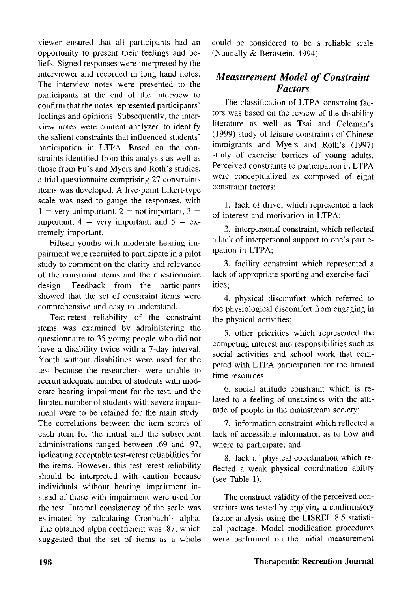viewer ensured that all participants had an opportunity to present their feelings and beliefs. Signed responses were interpreted by the interviewer and recorded in long hand notes. The interview notes were presented to the participants at the end of the interview to confirm that the notes represented participants' feelings and opinions. Subsequently, the interview notes were content analyzed to identify the salient constraints that influenced students' participation in LTPA. Based on the constraints identified from this analysis as well as those from Fu's and Myers and Roth's studies, a trial questionnaire comprising 27 constraints items was developed. A five-point Likert-type scale was used to gauge the responses, with  $1 =$  very unimportant,  $2 =$  not important,  $3 =$ important,  $4 = \text{very important, and } 5 = \text{ex-}$ tremely important.

Fifteen youths with moderate hearing impairment were recruited to participate in a pilot study to comment on the clarity and relevance of the constraint items and the questionnaire design. Feedback from the participants showed that the set of constraint items were comprehensive and easy to understand.

Test-retest reliability of the constraint items was examined by administering the questionnaire to 35 young people who did not have a disability twice with a 7-day interval. Youth without disabilities were used for the test because the researchers were unable to recruit adequate number of students with moderate hearing impairment for the test, and the limited number of students with severe impairment were to be retained for the main study. The correlations between the item scores of each item for the initial and the subsequent administrations ranged between .69 and .97, indicating acceptable test-retest reliabilities for the items. However, this test-retest reliability should be interpreted with caution because individuals without hearing impairment instead of those with impairment were used for the test. Internal consistency of the scale was estimated by calculating Cronbach's alpha. The obtained alpha coefficient was .87, which suggested that the set of items as a whole could be considered to be a reliable scale (Nunnally & Bernstein, 1994).

## *Measurement Model of Constraint Factors*

The classification of LTPA constraint factors was based on the review of the disability literature as well as Tsai and Coleman's (1999) study of leisure constraints of Chinese immigrants and Myers and Roth's (1997) study of exercise barriers of young adults. Perceived constraints to participation in LTPA were conceptualized as composed of eight constraint factors:

1. lack of drive, which represented a lack of interest and motivation in LTPA;

2. interpersonal constraint, which reflected a lack of interpersonal support to one's participation in LTPA;

3. facility constraint which represented a lack of appropriate sporting and exercise facilities;

4. physical discomfort which referred to the physiological discomfort from engaging in the physical activities;

5. other priorities which represented the competing interest and responsibilities such as social activities and school work that competed with LTPA participation for the limited time resources;

6. social attitude constraint which is related to a feeling of uneasiness with the attitude of people in the mainstream society;

7. information constraint which reflected a lack of accessible information as to how and where to participate; and

8. lack of physical coordination which reflected a weak physical coordination ability (see Table 1).

The construct validity of the perceived constraints was tested by applying a confirmatory factor analysis using the LISREL 8.5 statistical package. Model modification procedures were performed on the initial measurement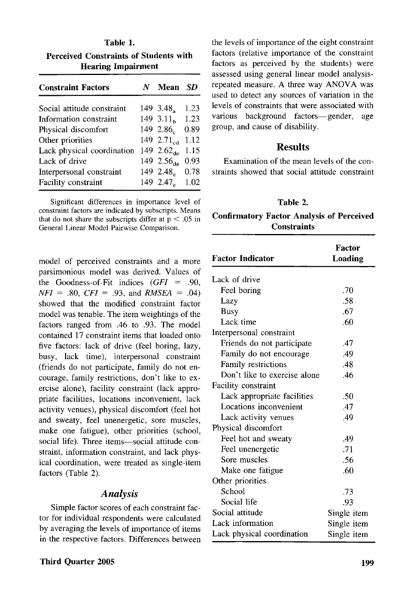**Table 1. Perceived Constraints of Students with Hearing Impairment**

| <b>Constraint Factors</b>  | Mean                   | SD   |
|----------------------------|------------------------|------|
| Social attitude constraint | 149 3.48.              | 1.23 |
| Information constraint     | 149 $3.11b$            | 1.23 |
| Physical discomfort        | 149 2.86               | 0.89 |
| Other priorities           | 149 2.7 $1_{cd}$       | 1.12 |
| Lack physical coordination | 149 2.62 <sub>de</sub> | 1.15 |
| Lack of drive              | 149 2.56 <sub>de</sub> | 0.93 |
| Interpersonal constraint   | 149 2.48               | 0.78 |
| Facility constraint        | 149 2.47.              | 1.02 |

Significant differences in importance level of constraint factors are indicated by subscripts. Means that do not share the subscripts differ at  $p < .05$  in General Linear Model Pairwise Comparison.

model of perceived constraints and a more parsimonious model was derived. Values of the Goodness-of-Fit indices *(GFI* = .90, *NFI* = .80, *CFI* = .93, and *RMSEA =* .04) showed that the modified constraint factor model was tenable. The item weightings of the factors ranged from .46 to .93. The model contained 17 constraint items that loaded onto five factors: lack of drive (feel boring, lazy, busy, lack time), interpersonal constraint (friends do not participate, family do not encourage, family restrictions, don't like to exercise alone), facility constraint (lack appropriate facilities, locations inconvenient, lack activity venues), physical discomfort (feel hot and sweaty, feel unenergetic, sore muscles, make one fatigue), other priorities (school, social life). Three items—social attitude constraint, information constraint, and lack physical coordination, were treated as single-item factors (Table 2).

#### *Analysis*

Simple factor scores of each constraint factor for individual respondents were calculated by averaging the levels of importance of items in the respective factors. Differences between the levels of importance of the eight constraint factors (relative importance of the constraint factors as perceived by the students) were assessed using general linear model analysisrepeated measure. A three way ANOVA was used to detect any sources of variation in the levels of constraints that were associated with various background factors—gender, age group, and cause of disability.

## Results

Examination of the mean levels of the constraints showed that social attitude constraint

#### **Table 2.**

### **Confirmatory Factor Analysis of Perceived Constraints**

| <b>Factor Indicator</b>      | Factor<br>Loading |
|------------------------------|-------------------|
| Lack of drive                |                   |
| Feel boring                  | .70               |
| Lazy                         | .58               |
| Busy                         | .67               |
| Lack time                    | .60               |
| Interpersonal constraint     |                   |
| Friends do not participate   | .47               |
| Family do not encourage      | .49               |
| Family restrictions          | .48               |
| Don't like to exercise alone | .46               |
| Facility constraint          |                   |
| Lack appropriate facilities  | .50               |
| Locations inconvenient       | .47               |
| Lack activity venues         | .49               |
| Physical discomfort          |                   |
| Feel hot and sweaty          | .49               |
| Feel unenergetic             | .71               |
| Sore muscles                 | .56               |
| Make one fatigue             | .60               |
| Other priorities             |                   |
| School                       | .73               |
| Social life                  | .93               |
| Social attitude              | Single item       |
| Lack information             | Single item       |
| Lack physical coordination   | Single item       |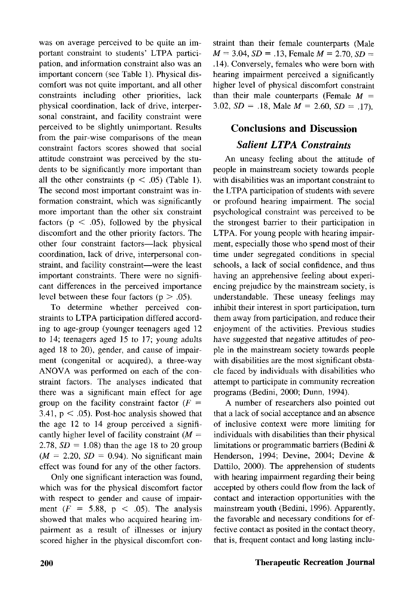was on average perceived to be quite an important constraint to students' LTPA participation, and information constraint also was an important concern (see Table 1). Physical discomfort was not quite important, and all other constraints including other priorities, lack physical coordination, lack of drive, interpersonal constraint, and facility constraint were perceived to be slightly unimportant. Results from the pair-wise comparisons of the mean constraint factors scores showed that social attitude constraint was perceived by the students to be significantly more important than all the other constraints ( $p < .05$ ) (Table 1). The second most important constraint was information constraint, which was significantly more important than the other six constraint factors ( $p < .05$ ), followed by the physical discomfort and the other priority factors. The other four constraint factors—lack physical coordination, lack of drive, interpersonal constraint, and facility constraint—were the least important constraints. There were no significant differences in the perceived importance level between these four factors ( $p > .05$ ).

To determine whether perceived constraints to LTPA participation differed according to age-group (younger teenagers aged 12 to 14; teenagers aged 15 to 17; young adults aged 18 to 20), gender, and cause of impairment (congenital or acquired), a three-way ANOVA was performed on each of the constraint factors. The analyses indicated that there was a significant main effect for age group on the facility constraint factor  $(F =$ 3.41,  $p < .05$ ). Post-hoc analysis showed that the age 12 to 14 group perceived a significantly higher level of facility constraint *(M —* 2.78,  $SD = 1.08$ ) than the age 18 to 20 group  $(M = 2.20, SD = 0.94)$ . No significant main effect was found for any of the other factors.

Only one significant interaction was found, which was for the physical discomfort factor with respect to gender and cause of impairment  $(F = 5.88, p < .05)$ . The analysis showed that males who acquired hearing impairment as a result of illnesses or injury scored higher in the physical discomfort constraint than their female counterparts (Male  $M = 3.04$ ,  $SD = .13$ , Female  $M = 2.70$ ,  $SD =$ .14). Conversely, females who were born with hearing impairment perceived a significantly higher level of physical discomfort constraint than their male counterparts (Female *M =* 3.02,  $SD = .18$ , Male  $M = 2.60$ ,  $SD = .17$ ).

## Conclusions and Discussion *Salient LTPA Constraints*

An uneasy feeling about the attitude of people in mainstream society towards people with disabilities was an important constraint to the LTPA participation of students with severe or profound hearing impairment. The social psychological constraint was perceived to be the strongest barrier to their participation in LTPA. For young people with hearing impairment, especially those who spend most of their time under segregated conditions in special schools, a lack of social confidence, and thus having an apprehensive feeling about experiencing prejudice by the mainstream society, is understandable. These uneasy feelings may inhibit their interest in sport participation, turn them away from participation, and reduce their enjoyment of the activities. Previous studies have suggested that negative attitudes of people in the mainstream society towards people with disabilities are the most significant obstacle faced by individuals with disabilities who attempt to participate in community recreation programs (Bedini, 2000; Dunn, 1994).

A number of researchers also pointed out that a lack of social acceptance and an absence of inclusive context were more limiting for individuals with disabilities than their physical limitations or programmatic barriers (Bedini & Henderson, 1994; Devine, 2004; Devine & Dattilo, 2000). The apprehension of students with hearing impairment regarding their being accepted by others could flow from the lack of contact and interaction opportunities with the mainstream youth (Bedini, 1996). Apparently, the favorable and necessary conditions for effective contact as posited in the contact theory, that is, frequent contact and long lasting inclu-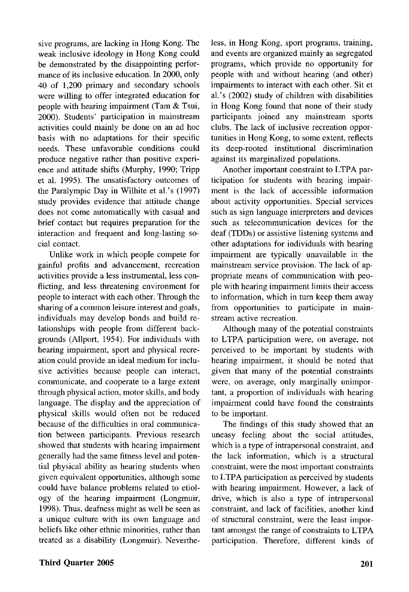sive programs, are lacking in Hong Kong. The weak inclusive ideology in Hong Kong could be demonstrated by the disappointing performance of its inclusive education. In 2000, only 40 of 1,200 primary and secondary schools were willing to offer integrated education for people with hearing impairment (Tam & Tsui, 2000). Students' participation in mainstream activities could mainly be done on an ad hoc basis with no adaptations for their specific needs. These unfavorable conditions could produce negative rather than positive experience and attitude shifts (Murphy, 1990; Tripp et al. 1995). The unsatisfactory outcomes of the Paralympic Day in Wilhite et al.'s (1997) study provides evidence that attitude change does not come automatically with casual and brief contact but requires preparation for the interaction and frequent and long-lasting social contact.

Unlike work in which people compete for gainful profits and advancement, recreation activities provide a less instrumental, less conflicting, and less threatening environment for people to interact with each other. Through the sharing of a common leisure interest and goals, individuals may develop bonds and build relationships with people from different backgrounds (Allport, 1954). For individuals with hearing impairment, sport and physical recreation could provide an ideal medium for inclusive activities because people can interact, communicate, and cooperate to a large extent through physical action, motor skills, and body language. The display and the appreciation of physical skills would often not be reduced because of the difficulties in oral communication between participants. Previous research showed that students with hearing impairment generally had the same fitness level and potential physical ability as hearing students when given equivalent opportunities, although some could have balance problems related to etiology of the hearing impairment (Longmuir, 1998). Thus, deafness might as well be seen as a unique culture with its own language and beliefs like other ethnic minorities, rather than treated as a disability (Longmuir). Nevertheless, in Hong Kong, sport programs, training, and events are organized mainly as segregated programs, which provide no opportunity for people with and without hearing (and other) impairments to interact with each other. Sit et al.'s (2002) study of children with disabilities in Hong Kong found that none of their study participants joined any mainstream sports clubs. The lack of inclusive recreation opportunities in Hong Kong, to some extent, reflects its deep-rooted institutional discrimination against its marginalized populations.

Another important constraint to LTPA participation for students with hearing impairment is the lack of accessible information about activity opportunities. Special services such as sign language interpreters and devices such as telecommunication devices for the deaf (TDDs) or assistive listening systems and other adaptations for individuals with hearing impairment are typically unavailable in the mainstream service provision. The lack of appropriate means of communication with people with hearing impairment limits their access to information, which in turn keep them away from opportunities to participate in mainstream active recreation.

Although many of the potential constraints to LTPA participation were, on average, not perceived to be important by students with hearing impairment, it should be noted that given that many of the potential constraints were, on average, only marginally unimportant, a proportion of individuals with hearing impairment could have found the constraints to be important.

The findings of this study showed that an uneasy feeling about the social attitudes, which is a type of intrapersonal constraint, and the lack information, which is a structural constraint, were the most important constraints to LTPA participation as perceived by students with hearing impairment. However, a lack of drive, which is also a type of intrapersonal constraint, and lack of facilities, another kind of structural constraint, were the least important amongst the range of constraints to LTPA participation. Therefore, different kinds of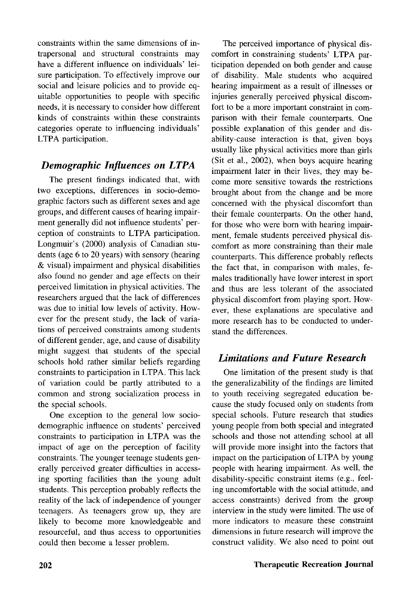constraints within the same dimensions of intrapersonal and structural constraints may have a different influence on individuals' leisure participation. To effectively improve our social and leisure policies and to provide equitable opportunities to people with specific needs, it is necessary to consider how different kinds of constraints within these constraints categories operate to influencing individuals' LTPA participation.

## *Demographic Influences on LTPA*

The present findings indicated that, with two exceptions, differences in socio-demographic factors such as different sexes and age groups, and different causes of hearing impairment generally did not influence students' perception of constraints to LTPA participation. Longmuir's (2000) analysis of Canadian students (age 6 to 20 years) with sensory (hearing & visual) impairment and physical disabilities also found no gender and age effects on their perceived limitation in physical activities. The researchers argued that the lack of differences was due to initial low levels of activity. However for the present study, the lack of variations of perceived constraints among students of different gender, age, and cause of disability might suggest that students of the special schools hold rather similar beliefs regarding constraints to participation in LTPA. This lack of variation could be partly attributed to a common and strong socialization process in the special schools.

One exception to the general low sociodemographic influence on students' perceived constraints to participation in LTPA was the impact of age on the perception of facility constraints. The younger teenage students generally perceived greater difficulties in accessing sporting facilities than the young adult students. This perception probably reflects the reality of the lack of independence of younger teenagers. As teenagers grow up, they are likely to become more knowledgeable and resourceful, and thus access to opportunities could then become a lesser problem.

The perceived importance of physical discomfort in constraining students' LTPA participation depended on both gender and cause of disability. Male students who acquired hearing impairment as a result of illnesses or injuries generally perceived physical discomfort to be a more important constraint in comparison with their female counterparts. One possible explanation of this gender and disability-cause interaction is that, given boys usually like physical activities more than girls (Sit et al, 2002), when boys acquire hearing impairment later in their lives, they may become more sensitive towards the restrictions brought about from the change and be more concerned with the physical discomfort than their female counterparts. On the other hand, for those who were born with hearing impairment, female students perceived physical discomfort as more constraining than their male counterparts. This difference probably reflects the fact that, in comparison with males, females traditionally have lower interest in sport and thus are less tolerant of the associated physical discomfort from playing sport. However, these explanations are speculative and more research has to be conducted to understand the differences.

## *Limitations and Future Research*

One limitation of the present study is that the generalizability of the findings are limited to youth receiving segregated education because the study focused only on students from special schools. Future research that studies young people from both special and integrated schools and those not attending school at all will provide more insight into the factors that impact on the participation of LTPA by young people with hearing impairment. As well, the disability-specific constraint items (e.g., feeling uncomfortable with the social attitude, and access constraints) derived from the group interview in the study were limited. The use of more indicators to measure these constraint dimensions in future research will improve the construct validity. We also need to point out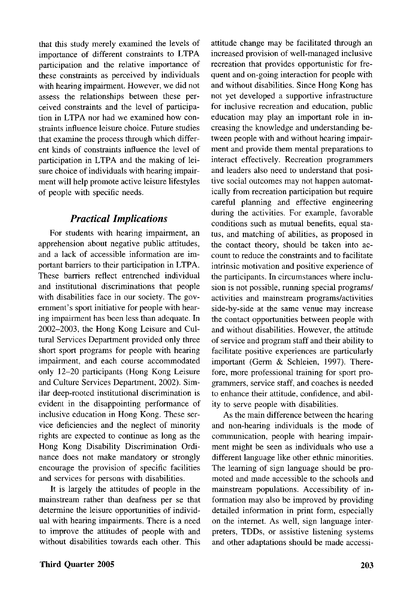that this study merely examined the levels of importance of different constraints to LTPA participation and the relative importance of these constraints as perceived by individuals with hearing impairment. However, we did not assess the relationships between these perceived constraints and the level of participation in LTPA nor had we examined how constraints influence leisure choice. Future studies that examine the process through which different kinds of constraints influence the level of participation in LTPA and the making of leisure choice of individuals with hearing impairment will help promote active leisure lifestyles of people with specific needs.

## *Practical Implications*

For students with hearing impairment, an apprehension about negative public attitudes, and a lack of accessible information are important barriers to their participation in LTPA. These barriers reflect entrenched individual and institutional discriminations that people with disabilities face in our society. The government's sport initiative for people with hearing impairment has been less than adequate. In 2002-2003, the Hong Kong Leisure and Cultural Services Department provided only three short sport programs for people with hearing impairment, and each course accommodated only 12-20 participants (Hong Kong Leisure and Culture Services Department, 2002). Similar deep-rooted institutional discrimination is evident in the disappointing performance of inclusive education in Hong Kong. These service deficiencies and the neglect of minority rights are expected to continue as long as the Hong Kong Disability Discrimination Ordinance does not make mandatory or strongly encourage the provision of specific facilities and services for persons with disabilities.

It is largely the attitudes of people in the mainstream rather than deafness per se that determine the leisure opportunities of individual with hearing impairments. There is a need to improve the attitudes of people with and without disabilities towards each other. This

and without disabilities. Since Hong Kong has not yet developed a supportive infrastructure for inclusive recreation and education, public education may play an important role in increasing the knowledge and understanding between people with and without hearing impairment and provide them mental preparations to interact effectively. Recreation programmers and leaders also need to understand that positive social outcomes may not happen automatically from recreation participation but require careful planning and effective engineering during the activities. For example, favorable conditions such as mutual benefits, equal status, and matching of abilities, as proposed in the contact theory, should be taken into account to reduce the constraints and to facilitate intrinsic motivation and positive experience of the participants. In circumstances where inclusion is not possible, running special programs/ activities and mainstream programs/activities side-by-side at the same venue may increase the contact opportunities between people with and without disabilities. However, the attitude of service and program staff and their ability to facilitate positive experiences are particularly important (Germ & Schleien, 1997). Therefore, more professional training for sport programmers, service staff, and coaches is needed to enhance their attitude, confidence, and ability to serve people with disabilities. As the main difference between the hearing

attitude change may be facilitated through an increased provision of well-managed inclusive recreation that provides opportunistic for frequent and on-going interaction for people with

and non-hearing individuals is the mode of communication, people with hearing impairment might be seen as individuals who use a different language like other ethnic minorities. The learning of sign language should be promoted and made accessible to the schools and mainstream populations. Accessibility of information may also be improved by providing detailed information in print form, especially on the internet. As well, sign language interpreters, TDDs, or assistive listening systems and other adaptations should be made accessi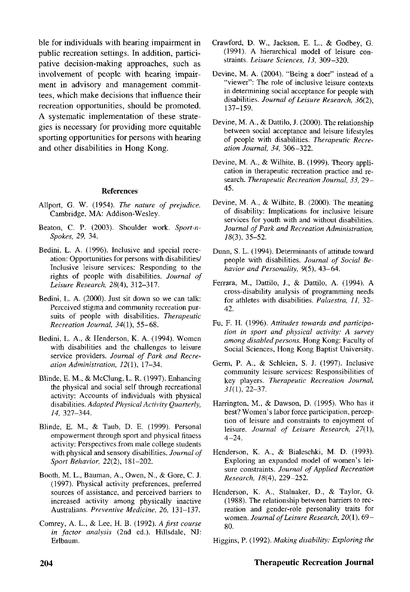ble for individuals with hearing impairment in public recreation settings. In addition, participative decision-making approaches, such as involvement of people with hearing impairment in advisory and management committees, which make decisions that influence their recreation opportunities, should be promoted. A systematic implementation of these strategies is necessary for providing more equitable sporting opportunities for persons with hearing and other disabilities in Hong Kong.

#### References

- Allport, G. W. (1954). *The nature of prejudice.* Cambridge, MA: Addison-Wesley.
- Beaton, C. P. (2003). Shoulder work. *Sport-n-Spokes, 29,* 34.
- Bedini, L. A. (1996). Inclusive and special recreation: Opportunities for persons with disabilities/ Inclusive leisure services: Responding to the rights of people with disabilities. *Journal of Leisure Research, 28(4),* 312-317.
- Bedini, L. A. (2000). Just sit down so we can talk: Perceived stigma and community recreation pursuits of people with disabilities. *Therapeutic Recreation Journal, 34(\),* 55-68.
- Bedini, L. A., & Henderson, K. A. (1994). Women with disabilities and the challenges to leisure service providers. *Journal of Park and Recreation Administration, 12(1), 17-34.*
- Blinde, E. M., & McClung, L. R. (1997). Enhancing the physical and social self through recreational activity: Accounts of individuals with physical disabilities. *Adapted Physical Activity Quarterly, 14,* 327-344.
- Blinde, E. M, & Taub, D. E. (1999). Personal empowerment through sport and physical fitness activity: Perspectives from male college students with physical and sensory disabilities. *Journal of Sport Behavior,* 22(2), 181-202.
- Booth, M. L., Bauman, A., Owen, N., & Gore, C. J. (1997). Physical activity preferences, preferred sources of assistance, and perceived barriers to increased activity among physically inactive Australians. *Preventive Medicine, 26,* 131-137.
- Comrey, A. L., & Lee, H. B. (1992). *A first course in factor analysis* (2nd ed.). Hillsdale, NJ: Erlbaum.
- Crawford, D. W., Jackson, E. L., & Godbey, G. (1991). A hierarchical model of leisure constraints. *Leisure Sciences, 13,* 309-320.
- Devine, M. A. (2004). "Being a doer" instead of a "viewer": The role of inclusive leisure contexts in determining social acceptance for people with disabilities. *Journal of Leisure Research, 36(2),* 137-159.
- Devine, M. A., & Dattilo, J. (2000). The relationship between social acceptance and leisure lifestyles of people with disabilities. *Therapeutic Recreation Journal, 34,* 306-322.
- Devine, M. A., & Wilhite, B. (1999). Theory application in therapeutic recreation practice and research. *Therapeutic Recreation Journal, 33,* 29- 45.
- Devine, M. A., & Wilhite, B. (2000). The meaning of disability: Implications for inclusive leisure services for youth with and without disabilities. *Journal of Park and Recreation Administration, 18(3),* 35-52.
- Dunn, S. L. (1994). Determinants of attitude toward people with disabilities. *Journal of Social Behavior and Personality,* 9(5), 43-64.
- Ferrara, M., Dattilo, J., & Dattilo, A. (1994). A cross-disability analysis of programming needs for athletes with disabilities. *Palaestra, 11,* 32- 42.
- Fu, F. H. (1996). *Attitudes towards and participation in sport and physical activity: A survey among disabled persons.* Hong Kong: Faculty of Social Sciences, Hong Kong Baptist University.
- Germ, P. A., & Schleien, S. J. (1997). Inclusive community leisure services: Responsibilities of key players. *Therapeutic Recreation Journal, 31(1),* 22-37.
- Harrington, M., & Dawson, D. (1995). Who has it best? Women's labor force participation, perception of leisure and constraints to enjoyment of leisure. *Journal of Leisure Research, 27(\),*  $4 - 24.$
- Henderson, K. A., & Bialeschki, M. D. (1993). Exploring an expanded model of women's leisure constraints. *Journal of Applied Recreation Research, 18(4),* 229-252.
- Henderson, K. A., Stalnaker, D., & Taylor, G. (1988). The relationship between barriers to recreation and gender-role personality traits for women. *Journal of Leisure Research,* 20(1), 69- 80.

Higgins, P. (1992). *Making disability: Exploring the*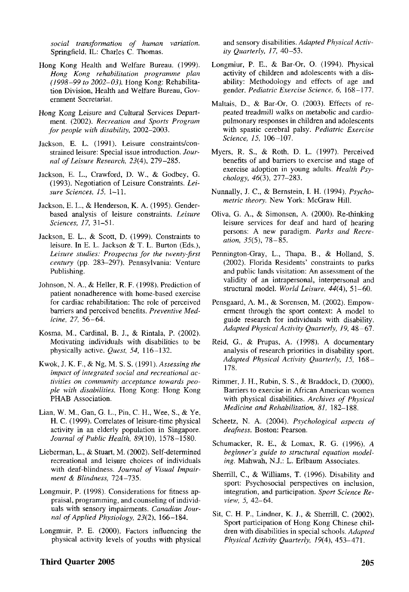*social transformation of human variation.* Springfield, IL: Charles C. Thomas.

- Hong Kong Health and Welfare Bureau. (1999). *Hong Kong rehabilitation programme plan (1998-99 to 2002-03).* Hong Kong: Rehabilitation Division, Health and Welfare Bureau, Government Secretariat.
- Hong Kong Leisure and Cultural Services Department. (2002). *Recreation and Sports Program for people with disability,* 2002-2003.
- Jackson, E. L. (1991). Leisure constraints/constrained leisure: Special issue introduction. *Journal of Leisure Research,* 23(4), 279-285.
- Jackson, E. L., Crawford, D. W., & Godbey, G. (1993). Negotiation of Leisure Constraints. *Leisure Sciences, 15,* 1-11.
- Jackson, E. L., & Henderson, K. A. (1995). Genderbased analysis of leisure constraints. *Leisure Sciences, 17,* 31-51.
- Jackson, E. L., & Scott, D. (1999). Constraints to leisure. In E. L. Jackson & T. L. Burton (Eds.), *Leisure studies: Prospectus for the twenty-first century* (pp. 283-297). Pennsylvania: Venture Publishing.
- Johnson, N. A., & Heller, R. F. (1998). Prediction of patient nonadherence with home-based exercise for cardiac rehabilitation: The role of perceived barriers and perceived benefits. *Preventive Medicine, 27,* 56-64.
- Kosma, M., Cardinal, B. J., & Rintala, P. (2002). Motivating individuals with disabilities to be physically active. *Quest, 54,* 116-132.
- Kwok, J. K. F., & Ng, M. S. S. (1991). *Assessing the impact of integrated social and recreational activities on community acceptance towards people with disabilities.* Hong Kong: Hong Kong PHAB Association.
- Lian, W. M, Gan, G. L., Pin, C. H., Wee, S., & Ye, H. C. (1999). Correlates of leisure-time physical activity in an elderly population in Singapore. *Journal of Public Health,* S9(10), 1578-1580.
- Lieberman, L., & Stuart, M. (2002). Self-determined recreational and leisure choices of individuals with deaf-blindness. *Journal of Visual Impairment & Blindness,* 724-735.
- Longmuir, P. (1998). Considerations for fitness appraisal, programming, and counseling of individuals with sensory impairments. *Canadian Journal of Applied Physiology, 23(2),* 166-184.
- Longmuir, P. E. (2000). Factors influencing the physical activity levels of youths with physical

#### Third Quarter 2005 205

and sensory disabilities. *Adapted Physical Activity Quarterly, 17,* 40-53.

- Longmiur, P. E., & Bar-Or, O. (1994). Physical activity of children and adolescents with a disability: Methodology and effects of age and gender. *Pediatric Exercise Science, 6,* 168-177.
- Maltais, D., & Bar-Or, O. (2003). Effects of repeated treadmill walks on metabolic and cardiopulmonary responses in children and adolescents with spastic cerebral palsy. *Pediatric Exercise Science, 15,* 106-107.
- Myers, R. S., & Roth, D. L. (1997). Perceived benefits of and barriers to exercise and stage of exercise adoption in young adults. *Health Psychology, 46(3),* 277-283.
- Nunnally, J. C, & Bernstein, I. H. (1994). *Psychometric theory.* New York: McGraw Hill.
- Oliva, G. A., & Simonsen, A. (2000). Re-thinking leisure services for deaf and hard of hearing persons: A new paradigm. *Parks and Recreation, 35(5),* 78-85.
- Pennington-Gray, L., Thapa, B., & Holland, S. (2002). Florida Residents' constraints to parks and public lands visitation: An assessment of the validity of an intrapersonal, interpersonal and structural model. *World Leisure, 44(4),* 51-60.
- Pensgaard, A. M., & Sorensen, M. (2002). Empowerment through the sport context: A model to guide research for individuals with disability. *Adapted Physical Activity Quarterly, 19,* 48-67.
- Reid, G., & Prupas, A. (1998). A documentary analysis of research priorities in disability sport. *Adapted Physical Activity Quarterly, 15,* 168 — 178.
- Rimmer, J. H., Rubin, S. S., & Braddock, D. (2000). Barriers to exercise in African American women with physical disabilities. *Archives of Physical Medicine and Rehabilitation, 81,* 182-188.
- Scheetz, N. A. (2004). *Psychological aspects of deafness.* Boston: Pearson.
- Schumacker, R. E., & Lomax, R. G. (1996). *A beginner's guide to structural equation modeling.* Mahwah, N.J.: L. Erlbaum Associates.
- Sherrill, C, & Williams, T. (1996). Disability and sport: Psychosocial perspectives on inclusion, integration, and participation. *Sport Science Review, 5,* 42-64.
- Sit, C. H. P., Lindner, K. J., & Sherrill, C. (2002). Sport participation of Hong Kong Chinese children with disabilities in special schools. *Adapted Physical Activity Quarterly, 19(4),* 453-471.